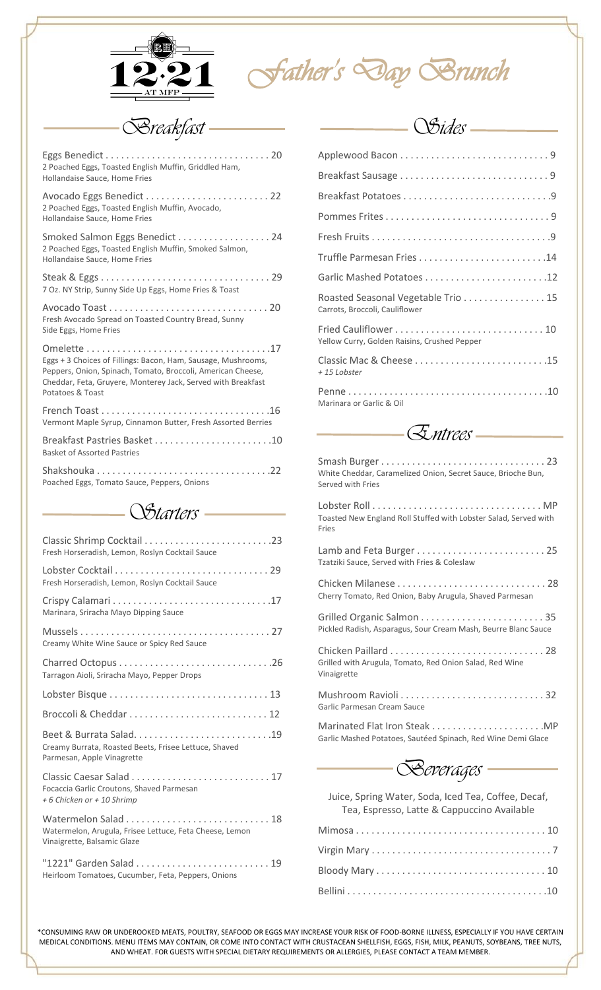

*Father's Day Brunch* 

*Breakfast*

| 2 Poached Eggs, Toasted English Muffin, Griddled Ham,<br>Hollandaise Sauce, Home Fries                                                                                                                           |
|------------------------------------------------------------------------------------------------------------------------------------------------------------------------------------------------------------------|
| 2 Poached Eggs, Toasted English Muffin, Avocado,<br>Hollandaise Sauce, Home Fries                                                                                                                                |
| Smoked Salmon Eggs Benedict  24<br>2 Poached Eggs, Toasted English Muffin, Smoked Salmon,<br>Hollandaise Sauce, Home Fries                                                                                       |
| 7 Oz. NY Strip, Sunny Side Up Eggs, Home Fries & Toast                                                                                                                                                           |
| Fresh Avocado Spread on Toasted Country Bread, Sunny<br>Side Eggs, Home Fries                                                                                                                                    |
| Eggs + 3 Choices of Fillings: Bacon, Ham, Sausage, Mushrooms,<br>Peppers, Onion, Spinach, Tomato, Broccoli, American Cheese,<br>Cheddar, Feta, Gruyere, Monterey Jack, Served with Breakfast<br>Potatoes & Toast |
| Vermont Maple Syrup, Cinnamon Butter, Fresh Assorted Berries                                                                                                                                                     |
| Breakfast Pastries Basket 10<br><b>Basket of Assorted Pastries</b>                                                                                                                                               |
| Poached Eggs, Tomato Sauce, Peppers, Onions                                                                                                                                                                      |

*Starters*

| Fresh Horseradish, Lemon, Roslyn Cocktail Sauce                                        |
|----------------------------------------------------------------------------------------|
| Fresh Horseradish, Lemon, Roslyn Cocktail Sauce                                        |
| Marinara, Sriracha Mayo Dipping Sauce                                                  |
| Creamy White Wine Sauce or Spicy Red Sauce                                             |
| Tarragon Aioli, Sriracha Mayo, Pepper Drops                                            |
|                                                                                        |
|                                                                                        |
| Creamy Burrata, Roasted Beets, Frisee Lettuce, Shaved<br>Parmesan, Apple Vinagrette    |
| Focaccia Garlic Croutons, Shaved Parmesan<br>+ 6 Chicken or + 10 Shrimp                |
| Watermelon, Arugula, Frisee Lettuce, Feta Cheese, Lemon<br>Vinaigrette, Balsamic Glaze |
| Heirloom Tomatoes, Cucumber, Feta, Peppers, Onions                                     |
|                                                                                        |

| Garlic Mashed Potatoes 12                                            |
|----------------------------------------------------------------------|
| Roasted Seasonal Vegetable Trio 15<br>Carrots, Broccoli, Cauliflower |
| Yellow Curry, Golden Raisins, Crushed Pepper                         |
| Classic Mac & Cheese 15<br>+15 Lobster                               |
| Marinara or Garlic & Oil                                             |

*Sides*

*Entrees*

| White Cheddar, Caramelized Onion, Secret Sauce, Brioche Bun,<br>Served with Fries |
|-----------------------------------------------------------------------------------|
| Toasted New England Roll Stuffed with Lobster Salad, Served with<br>Fries         |
| Tzatziki Sauce, Served with Fries & Coleslaw                                      |
| Cherry Tomato, Red Onion, Baby Arugula, Shaved Parmesan                           |
| Pickled Radish, Asparagus, Sour Cream Mash, Beurre Blanc Sauce                    |
| Grilled with Arugula, Tomato, Red Onion Salad, Red Wine<br>Vinaigrette            |
| Garlic Parmesan Cream Sauce                                                       |
| Garlic Mashed Potatoes, Sautéed Spinach, Red Wine Demi Glace                      |



Juice, Spring Water, Soda, Iced Tea, Coffee, Decaf, Tea, Espresso, Latte & Cappuccino Available

\*CONSUMING RAW OR UNDEROOKED MEATS, POULTRY, SEAFOOD OR EGGS MAY INCREASE YOUR RISK OF FOOD-BORNE ILLNESS, ESPECIALLY IF YOU HAVE CERTAIN MEDICAL CONDITIONS. MENU ITEMS MAY CONTAIN, OR COME INTO CONTACT WITH CRUSTACEAN SHELLFISH, EGGS, FISH, MILK, PEANUTS, SOYBEANS, TREE NUTS, AND WHEAT. FOR GUESTS WITH SPECIAL DIETARY REQUIREMENTS OR ALLERGIES, PLEASE CONTACT A TEAM MEMBER.